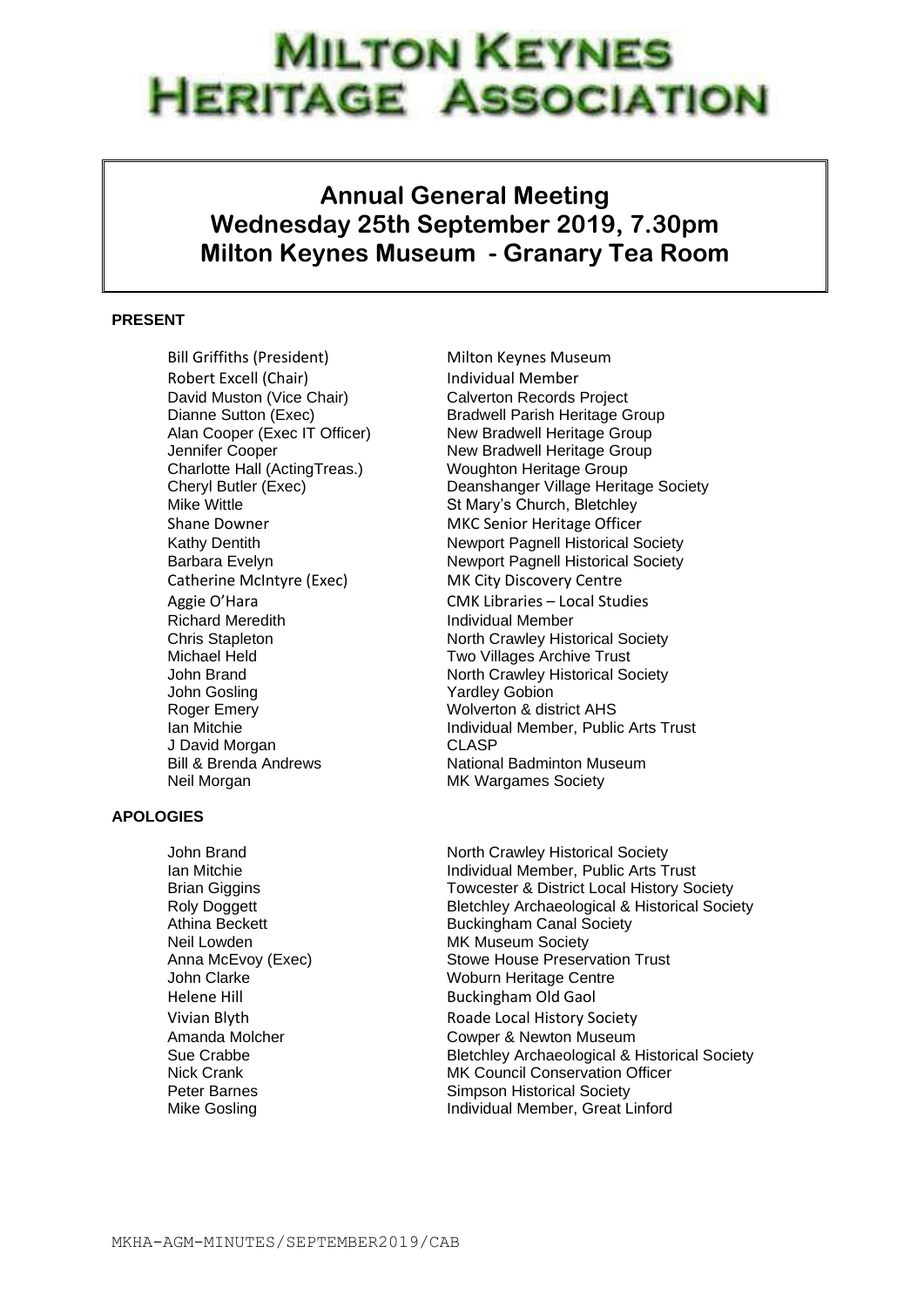## **MILTON KEYNES JERITAGE ASSOCIATION**

## **Annual General Meeting Wednesday 25th September 2019, 7.30pm Milton Keynes Museum - Granary Tea Room**

## **PRESENT**

Bill Griffiths (President) Milton Keynes Museum Robert Excell (Chair) **Individual Member** David Muston (Vice Chair) Calverton Records Project Alan Cooper (Exec IT Officer)<br>Jennifer Cooper Charlotte Hall (ActingTreas.) Woughton Heritage Group Mike Wittle **St Mary's Church, Bletchley** Shane Downer **MKC** Senior Heritage Officer Catherine McIntyre (Exec) MK City Discovery Centre Richard Meredith **Individual Member**<br>
Chris Stapleton **Individual Member**<br>
North Crawley Hist Michael Held **Two Villages Archive Trust** John Gosling **Yardley Gobion** Roger Emery Noterton & district AHS J David Morgan CLASP Neil Morgan MK Wargames Society

## **APOLOGIES**

Dianne Sutton (Exec)<br>
Alan Cooper (Exec IT Officer) Bradwell Heritage Group<br>
New Bradwell Heritage Group New Bradwell Heritage Group Cheryl Butler (Exec) Deanshanger Village Heritage Society Kathy Dentith Newport Pagnell Historical Society Barbara Evelyn Newport Pagnell Historical Society Aggie O'Hara CMK Libraries – Local Studies North Crawley Historical Society John Brand **North Crawley Historical Society** Ian Mitchie Individual Member, Public Arts Trust Bill & Brenda Andrews National Badminton Museum

John Brand North Crawley Historical Society Ian Mitchie **Individual Member, Public Arts Trust**  Brian Giggins Towcester & District Local History Society Roly Doggett **Bletchley Archaeological & Historical Society** Athina Beckett Buckingham Canal Society Neil Lowden MK Museum Society Anna McEvoy (Exec) Stowe House Preservation Trust John Clarke Woburn Heritage Centre Helene Hill Buckingham Old Gaol Vivian Blyth **Roade Local History Society** Amanda Molcher Cowper & Newton Museum Sue Crabbe Bletchley Archaeological & Historical Society Nick Crank MK Council Conservation Officer Peter Barnes **Simpson Historical Society** Mike Gosling **Individual Member, Great Linford**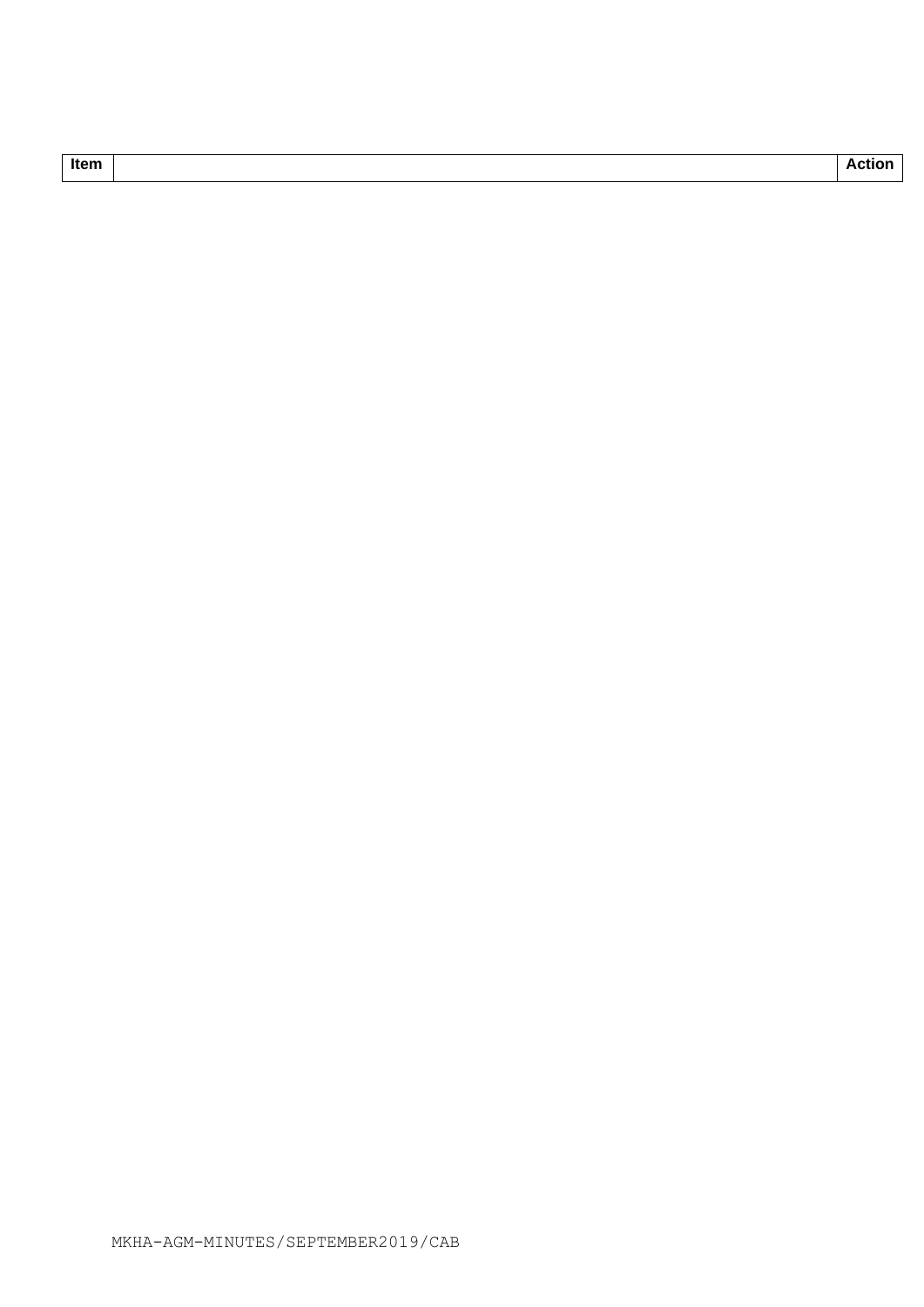| ×<br>٠<br>M<br>. . |
|--------------------|
|--------------------|

**Thanks Item Action 2018 Action 2018 Action 2018 Action 2018 Action**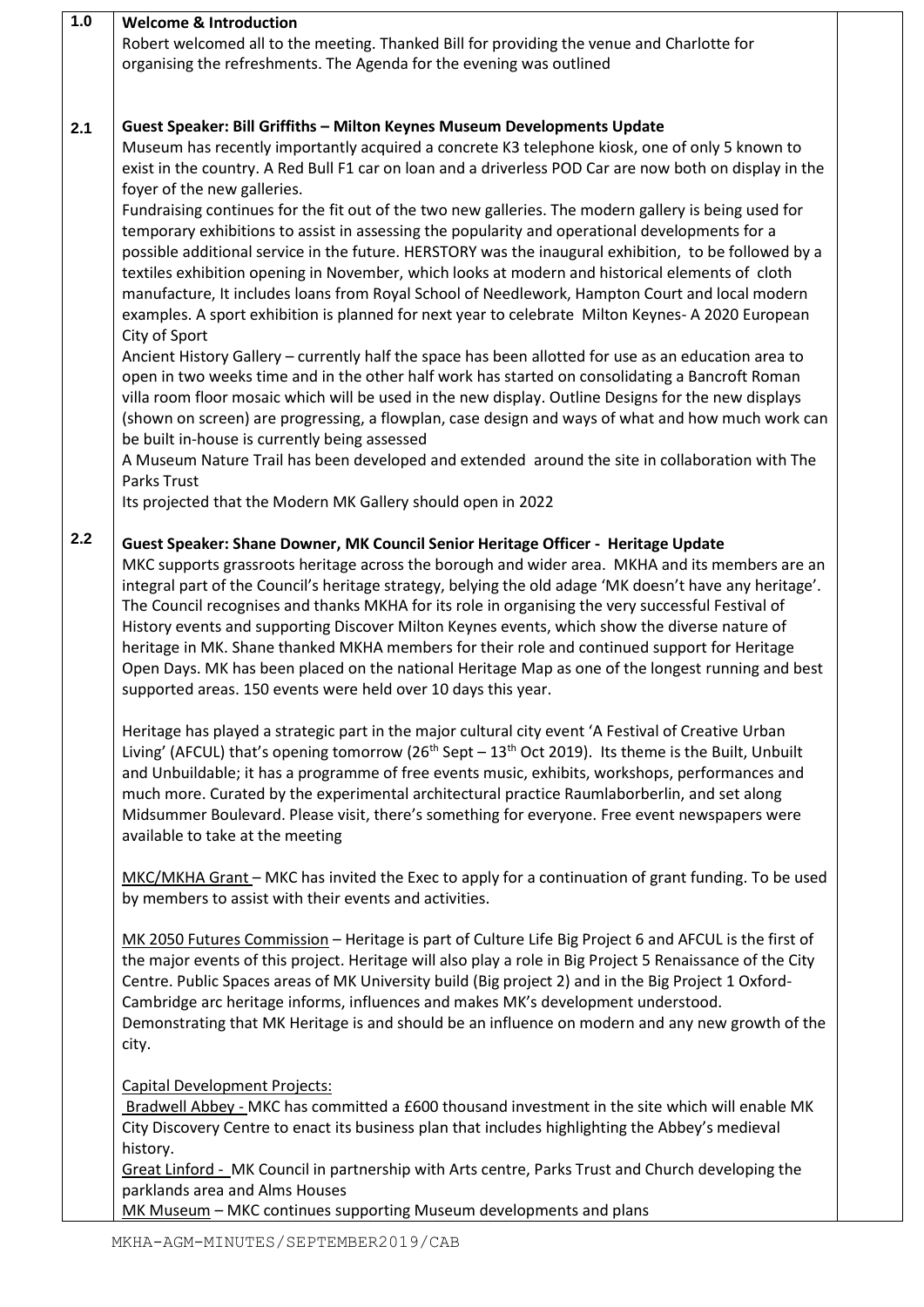| 1.0 | <b>Welcome &amp; Introduction</b>                                                                         |
|-----|-----------------------------------------------------------------------------------------------------------|
|     | Robert welcomed all to the meeting. Thanked Bill for providing the venue and Charlotte for                |
|     | organising the refreshments. The Agenda for the evening was outlined                                      |
|     |                                                                                                           |
|     |                                                                                                           |
| 2.1 | Guest Speaker: Bill Griffiths - Milton Keynes Museum Developments Update                                  |
|     | Museum has recently importantly acquired a concrete K3 telephone kiosk, one of only 5 known to            |
|     |                                                                                                           |
|     | exist in the country. A Red Bull F1 car on loan and a driverless POD Car are now both on display in the   |
|     | foyer of the new galleries.                                                                               |
|     | Fundraising continues for the fit out of the two new galleries. The modern gallery is being used for      |
|     | temporary exhibitions to assist in assessing the popularity and operational developments for a            |
|     | possible additional service in the future. HERSTORY was the inaugural exhibition, to be followed by a     |
|     | textiles exhibition opening in November, which looks at modern and historical elements of cloth           |
|     | manufacture, It includes loans from Royal School of Needlework, Hampton Court and local modern            |
|     | examples. A sport exhibition is planned for next year to celebrate Milton Keynes- A 2020 European         |
|     | City of Sport                                                                                             |
|     |                                                                                                           |
|     | Ancient History Gallery - currently half the space has been allotted for use as an education area to      |
|     | open in two weeks time and in the other half work has started on consolidating a Bancroft Roman           |
|     | villa room floor mosaic which will be used in the new display. Outline Designs for the new displays       |
|     | (shown on screen) are progressing, a flowplan, case design and ways of what and how much work can         |
|     | be built in-house is currently being assessed                                                             |
|     | A Museum Nature Trail has been developed and extended around the site in collaboration with The           |
|     | Parks Trust                                                                                               |
|     | Its projected that the Modern MK Gallery should open in 2022                                              |
|     |                                                                                                           |
| 2.2 | Guest Speaker: Shane Downer, MK Council Senior Heritage Officer - Heritage Update                         |
|     |                                                                                                           |
|     | MKC supports grassroots heritage across the borough and wider area. MKHA and its members are an           |
|     | integral part of the Council's heritage strategy, belying the old adage 'MK doesn't have any heritage'.   |
|     | The Council recognises and thanks MKHA for its role in organising the very successful Festival of         |
|     | History events and supporting Discover Milton Keynes events, which show the diverse nature of             |
|     | heritage in MK. Shane thanked MKHA members for their role and continued support for Heritage              |
|     | Open Days. MK has been placed on the national Heritage Map as one of the longest running and best         |
|     | supported areas. 150 events were held over 10 days this year.                                             |
|     |                                                                                                           |
|     | Heritage has played a strategic part in the major cultural city event 'A Festival of Creative Urban       |
|     | Living' (AFCUL) that's opening tomorrow ( $26th$ Sept $-13th$ Oct 2019). Its theme is the Built, Unbuilt  |
|     | and Unbuildable; it has a programme of free events music, exhibits, workshops, performances and           |
|     |                                                                                                           |
|     | much more. Curated by the experimental architectural practice Raumlaborberlin, and set along              |
|     | Midsummer Boulevard. Please visit, there's something for everyone. Free event newspapers were             |
|     | available to take at the meeting                                                                          |
|     |                                                                                                           |
|     | MKC/MKHA Grant - MKC has invited the Exec to apply for a continuation of grant funding. To be used        |
|     | by members to assist with their events and activities.                                                    |
|     |                                                                                                           |
|     | MK 2050 Futures Commission - Heritage is part of Culture Life Big Project 6 and AFCUL is the first of     |
|     | the major events of this project. Heritage will also play a role in Big Project 5 Renaissance of the City |
|     | Centre. Public Spaces areas of MK University build (Big project 2) and in the Big Project 1 Oxford-       |
|     | Cambridge arc heritage informs, influences and makes MK's development understood.                         |
|     |                                                                                                           |
|     | Demonstrating that MK Heritage is and should be an influence on modern and any new growth of the          |
|     | city.                                                                                                     |
|     |                                                                                                           |
|     | <b>Capital Development Projects:</b>                                                                      |
|     | Bradwell Abbey - MKC has committed a £600 thousand investment in the site which will enable MK            |
|     | City Discovery Centre to enact its business plan that includes highlighting the Abbey's medieval          |
|     | history.                                                                                                  |
|     | Great Linford - MK Council in partnership with Arts centre, Parks Trust and Church developing the         |
|     | parklands area and Alms Houses                                                                            |
|     | MK Museum - MKC continues supporting Museum developments and plans                                        |
|     |                                                                                                           |

 $\mathbf{r}$ 

┑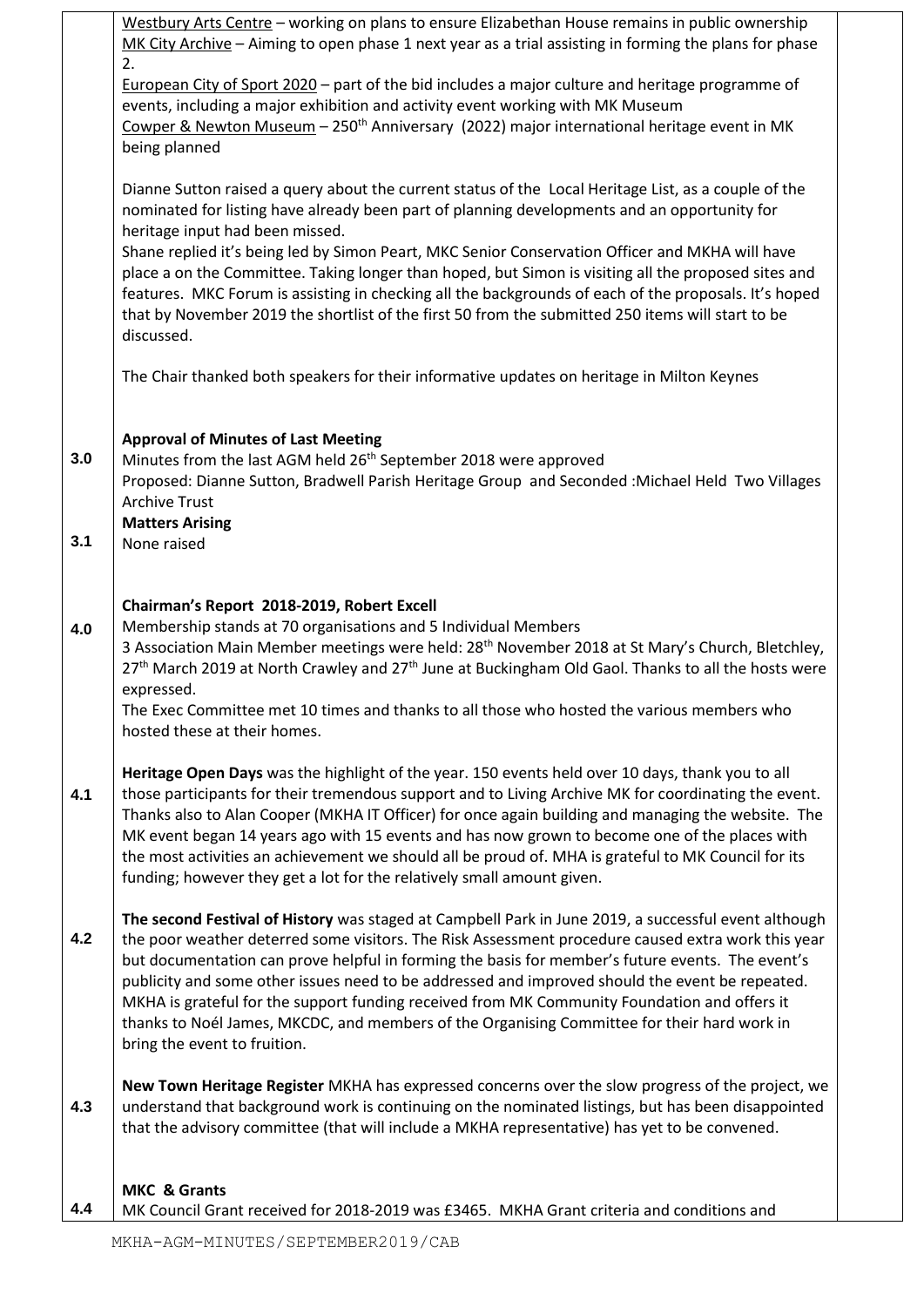|     | Westbury Arts Centre – working on plans to ensure Elizabethan House remains in public ownership<br>MK City Archive - Aiming to open phase 1 next year as a trial assisting in forming the plans for phase<br>2.                                                                                                                                                                                                                                                                                                                                                                                                                                                                |
|-----|--------------------------------------------------------------------------------------------------------------------------------------------------------------------------------------------------------------------------------------------------------------------------------------------------------------------------------------------------------------------------------------------------------------------------------------------------------------------------------------------------------------------------------------------------------------------------------------------------------------------------------------------------------------------------------|
|     | European City of Sport 2020 - part of the bid includes a major culture and heritage programme of<br>events, including a major exhibition and activity event working with MK Museum<br>Cowper & Newton Museum - 250 <sup>th</sup> Anniversary (2022) major international heritage event in MK<br>being planned                                                                                                                                                                                                                                                                                                                                                                  |
|     | Dianne Sutton raised a query about the current status of the Local Heritage List, as a couple of the<br>nominated for listing have already been part of planning developments and an opportunity for<br>heritage input had been missed.<br>Shane replied it's being led by Simon Peart, MKC Senior Conservation Officer and MKHA will have<br>place a on the Committee. Taking longer than hoped, but Simon is visiting all the proposed sites and<br>features. MKC Forum is assisting in checking all the backgrounds of each of the proposals. It's hoped<br>that by November 2019 the shortlist of the first 50 from the submitted 250 items will start to be<br>discussed. |
|     | The Chair thanked both speakers for their informative updates on heritage in Milton Keynes                                                                                                                                                                                                                                                                                                                                                                                                                                                                                                                                                                                     |
| 3.0 | <b>Approval of Minutes of Last Meeting</b><br>Minutes from the last AGM held 26 <sup>th</sup> September 2018 were approved<br>Proposed: Dianne Sutton, Bradwell Parish Heritage Group and Seconded : Michael Held Two Villages<br><b>Archive Trust</b><br><b>Matters Arising</b>                                                                                                                                                                                                                                                                                                                                                                                               |
| 3.1 | None raised                                                                                                                                                                                                                                                                                                                                                                                                                                                                                                                                                                                                                                                                    |
| 4.0 | Chairman's Report 2018-2019, Robert Excell<br>Membership stands at 70 organisations and 5 Individual Members<br>3 Association Main Member meetings were held: 28 <sup>th</sup> November 2018 at St Mary's Church, Bletchley,<br>27 <sup>th</sup> March 2019 at North Crawley and 27 <sup>th</sup> June at Buckingham Old Gaol. Thanks to all the hosts were<br>expressed.<br>The Exec Committee met 10 times and thanks to all those who hosted the various members who<br>hosted these at their homes.                                                                                                                                                                        |
| 4.1 | Heritage Open Days was the highlight of the year. 150 events held over 10 days, thank you to all<br>those participants for their tremendous support and to Living Archive MK for coordinating the event.<br>Thanks also to Alan Cooper (MKHA IT Officer) for once again building and managing the website. The<br>MK event began 14 years ago with 15 events and has now grown to become one of the places with<br>the most activities an achievement we should all be proud of. MHA is grateful to MK Council for its<br>funding; however they get a lot for the relatively small amount given.                                                                               |
| 4.2 | The second Festival of History was staged at Campbell Park in June 2019, a successful event although<br>the poor weather deterred some visitors. The Risk Assessment procedure caused extra work this year<br>but documentation can prove helpful in forming the basis for member's future events. The event's<br>publicity and some other issues need to be addressed and improved should the event be repeated.<br>MKHA is grateful for the support funding received from MK Community Foundation and offers it<br>thanks to Noél James, MKCDC, and members of the Organising Committee for their hard work in<br>bring the event to fruition.                               |
| 4.3 | New Town Heritage Register MKHA has expressed concerns over the slow progress of the project, we<br>understand that background work is continuing on the nominated listings, but has been disappointed<br>that the advisory committee (that will include a MKHA representative) has yet to be convened.                                                                                                                                                                                                                                                                                                                                                                        |
| 4.4 | <b>MKC &amp; Grants</b><br>MK Council Grant received for 2018-2019 was £3465. MKHA Grant criteria and conditions and                                                                                                                                                                                                                                                                                                                                                                                                                                                                                                                                                           |

┯

 $\mathsf{r}$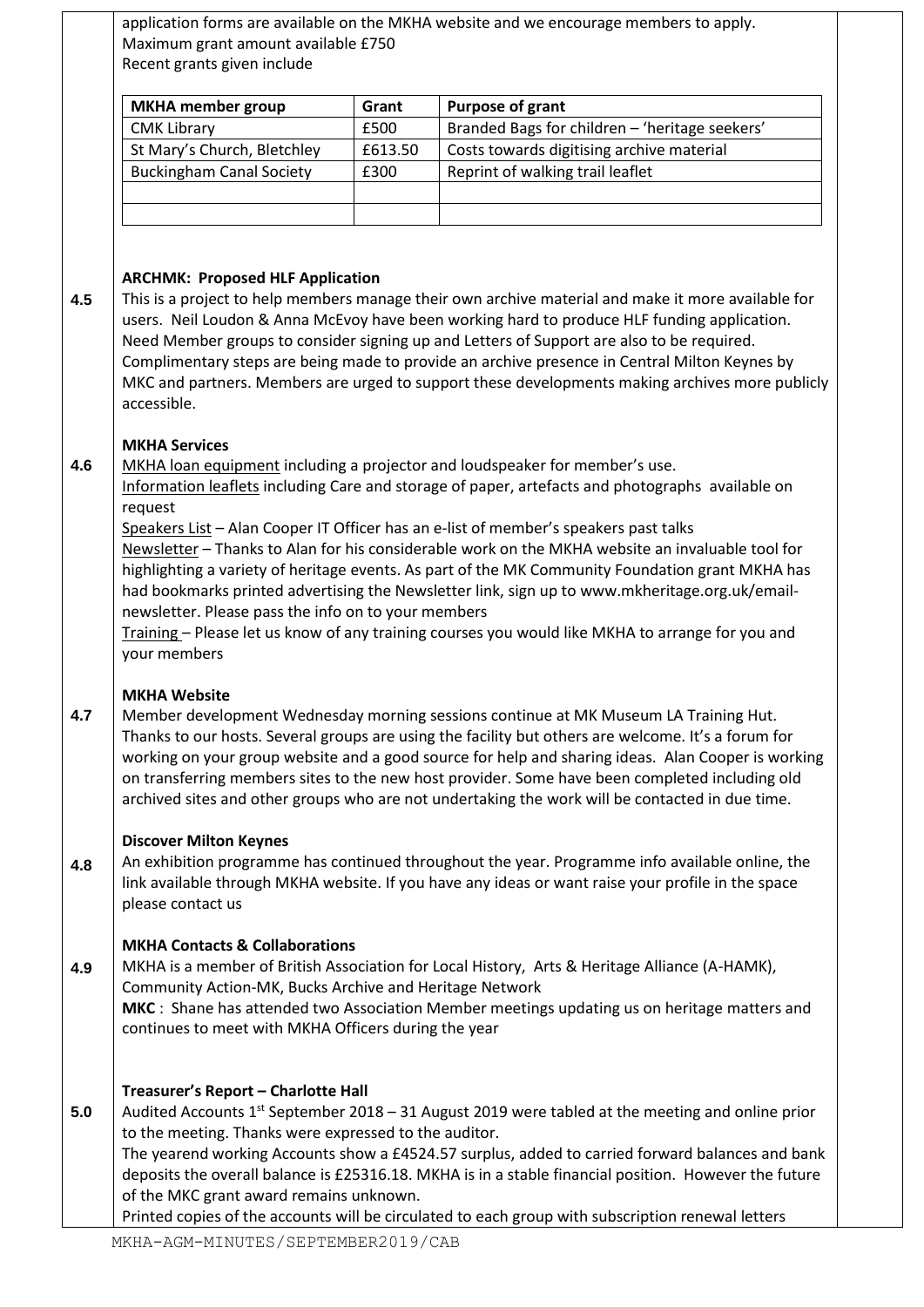|     | Maximum grant amount available £750                                                                                                                          |         | application forms are available on the MKHA website and we encourage members to apply.                                                                                                                                                                                                                                                                                                                                                                                                                 |
|-----|--------------------------------------------------------------------------------------------------------------------------------------------------------------|---------|--------------------------------------------------------------------------------------------------------------------------------------------------------------------------------------------------------------------------------------------------------------------------------------------------------------------------------------------------------------------------------------------------------------------------------------------------------------------------------------------------------|
|     | Recent grants given include                                                                                                                                  |         |                                                                                                                                                                                                                                                                                                                                                                                                                                                                                                        |
|     | <b>MKHA</b> member group                                                                                                                                     | Grant   | <b>Purpose of grant</b>                                                                                                                                                                                                                                                                                                                                                                                                                                                                                |
|     | <b>CMK Library</b>                                                                                                                                           | £500    | Branded Bags for children - 'heritage seekers'                                                                                                                                                                                                                                                                                                                                                                                                                                                         |
|     | St Mary's Church, Bletchley                                                                                                                                  | £613.50 | Costs towards digitising archive material                                                                                                                                                                                                                                                                                                                                                                                                                                                              |
|     | <b>Buckingham Canal Society</b>                                                                                                                              | £300    | Reprint of walking trail leaflet                                                                                                                                                                                                                                                                                                                                                                                                                                                                       |
|     |                                                                                                                                                              |         |                                                                                                                                                                                                                                                                                                                                                                                                                                                                                                        |
|     |                                                                                                                                                              |         |                                                                                                                                                                                                                                                                                                                                                                                                                                                                                                        |
|     |                                                                                                                                                              |         |                                                                                                                                                                                                                                                                                                                                                                                                                                                                                                        |
|     | <b>ARCHMK: Proposed HLF Application</b>                                                                                                                      |         |                                                                                                                                                                                                                                                                                                                                                                                                                                                                                                        |
| 4.5 | accessible.                                                                                                                                                  |         | This is a project to help members manage their own archive material and make it more available for<br>users. Neil Loudon & Anna McEvoy have been working hard to produce HLF funding application.<br>Need Member groups to consider signing up and Letters of Support are also to be required.<br>Complimentary steps are being made to provide an archive presence in Central Milton Keynes by<br>MKC and partners. Members are urged to support these developments making archives more publicly     |
| 4.6 | <b>MKHA Services</b><br>request                                                                                                                              |         | MKHA loan equipment including a projector and loudspeaker for member's use.<br>Information leaflets including Care and storage of paper, artefacts and photographs available on<br>Speakers List - Alan Cooper IT Officer has an e-list of member's speakers past talks                                                                                                                                                                                                                                |
|     | newsletter. Please pass the info on to your members<br>your members                                                                                          |         | Newsletter - Thanks to Alan for his considerable work on the MKHA website an invaluable tool for<br>highlighting a variety of heritage events. As part of the MK Community Foundation grant MKHA has<br>had bookmarks printed advertising the Newsletter link, sign up to www.mkheritage.org.uk/email-<br>Training - Please let us know of any training courses you would like MKHA to arrange for you and                                                                                             |
| 4.7 | <b>MKHA Website</b>                                                                                                                                          |         | Member development Wednesday morning sessions continue at MK Museum LA Training Hut.<br>Thanks to our hosts. Several groups are using the facility but others are welcome. It's a forum for<br>working on your group website and a good source for help and sharing ideas. Alan Cooper is working<br>on transferring members sites to the new host provider. Some have been completed including old<br>archived sites and other groups who are not undertaking the work will be contacted in due time. |
| 4.8 | <b>Discover Milton Keynes</b><br>please contact us                                                                                                           |         | An exhibition programme has continued throughout the year. Programme info available online, the<br>link available through MKHA website. If you have any ideas or want raise your profile in the space                                                                                                                                                                                                                                                                                                  |
| 4.9 | <b>MKHA Contacts &amp; Collaborations</b><br>Community Action-MK, Bucks Archive and Heritage Network<br>continues to meet with MKHA Officers during the year |         | MKHA is a member of British Association for Local History, Arts & Heritage Alliance (A-HAMK),<br>MKC : Shane has attended two Association Member meetings updating us on heritage matters and                                                                                                                                                                                                                                                                                                          |
| 5.0 | Treasurer's Report - Charlotte Hall<br>to the meeting. Thanks were expressed to the auditor.<br>of the MKC grant award remains unknown.                      |         | Audited Accounts 1 <sup>st</sup> September 2018 - 31 August 2019 were tabled at the meeting and online prior<br>The yearend working Accounts show a £4524.57 surplus, added to carried forward balances and bank<br>deposits the overall balance is £25316.18. MKHA is in a stable financial position. However the future<br>Printed copies of the accounts will be circulated to each group with subscription renewal letters                                                                         |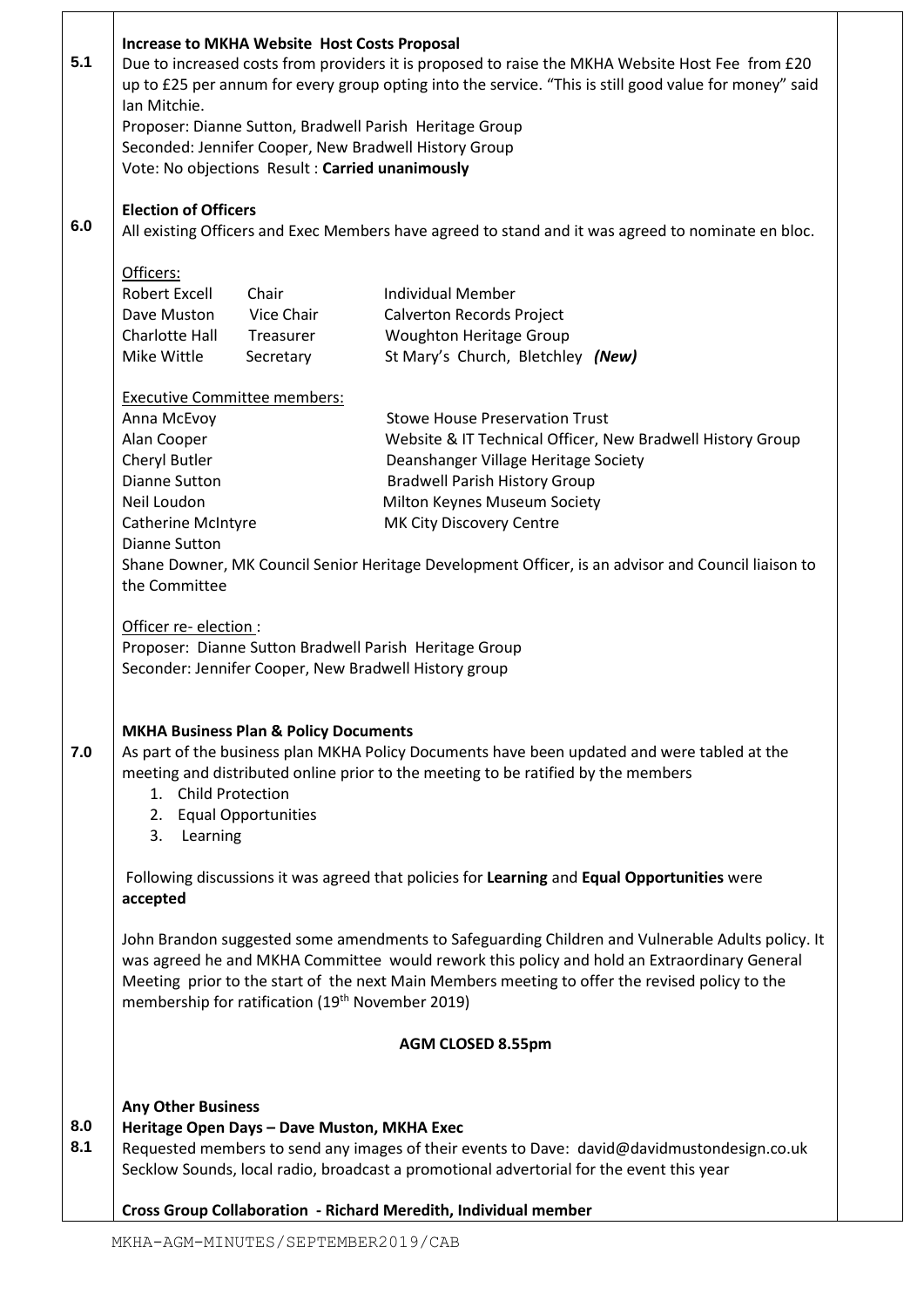|     | <b>Increase to MKHA Website Host Costs Proposal</b>                                              |  |                                                                                                        |
|-----|--------------------------------------------------------------------------------------------------|--|--------------------------------------------------------------------------------------------------------|
| 5.1 | Due to increased costs from providers it is proposed to raise the MKHA Website Host Fee from £20 |  |                                                                                                        |
|     |                                                                                                  |  | up to £25 per annum for every group opting into the service. "This is still good value for money" said |
|     | Ian Mitchie.                                                                                     |  |                                                                                                        |
|     | Proposer: Dianne Sutton, Bradwell Parish Heritage Group                                          |  |                                                                                                        |
|     | Seconded: Jennifer Cooper, New Bradwell History Group                                            |  |                                                                                                        |
|     | Vote: No objections Result: Carried unanimously                                                  |  |                                                                                                        |
|     |                                                                                                  |  |                                                                                                        |
|     | <b>Election of Officers</b>                                                                      |  |                                                                                                        |
| 6.0 |                                                                                                  |  | All existing Officers and Exec Members have agreed to stand and it was agreed to nominate en bloc.     |
|     |                                                                                                  |  |                                                                                                        |
|     | Officers:                                                                                        |  |                                                                                                        |
|     | Robert Excell<br>Chair                                                                           |  | <b>Individual Member</b>                                                                               |
|     | Dave Muston<br>Vice Chair                                                                        |  | Calverton Records Project                                                                              |
|     | Charlotte Hall<br>Treasurer                                                                      |  | Woughton Heritage Group                                                                                |
|     | Mike Wittle<br>Secretary                                                                         |  | St Mary's Church, Bletchley (New)                                                                      |
|     |                                                                                                  |  |                                                                                                        |
|     | <b>Executive Committee members:</b>                                                              |  |                                                                                                        |
|     | Anna McEvoy                                                                                      |  | <b>Stowe House Preservation Trust</b>                                                                  |
|     | Alan Cooper                                                                                      |  | Website & IT Technical Officer, New Bradwell History Group                                             |
|     | Cheryl Butler                                                                                    |  | Deanshanger Village Heritage Society                                                                   |
|     | <b>Dianne Sutton</b>                                                                             |  | <b>Bradwell Parish History Group</b>                                                                   |
|     | Neil Loudon                                                                                      |  | Milton Keynes Museum Society                                                                           |
|     | <b>Catherine McIntyre</b>                                                                        |  | MK City Discovery Centre                                                                               |
|     | <b>Dianne Sutton</b>                                                                             |  |                                                                                                        |
|     |                                                                                                  |  | Shane Downer, MK Council Senior Heritage Development Officer, is an advisor and Council liaison to     |
|     | the Committee                                                                                    |  |                                                                                                        |
|     |                                                                                                  |  |                                                                                                        |
|     | Officer re-election :                                                                            |  |                                                                                                        |
|     | Proposer: Dianne Sutton Bradwell Parish Heritage Group                                           |  |                                                                                                        |
|     | Seconder: Jennifer Cooper, New Bradwell History group                                            |  |                                                                                                        |
|     |                                                                                                  |  |                                                                                                        |
|     |                                                                                                  |  |                                                                                                        |
|     | <b>MKHA Business Plan &amp; Policy Documents</b>                                                 |  |                                                                                                        |
| 7.0 |                                                                                                  |  | As part of the business plan MKHA Policy Documents have been updated and were tabled at the            |
|     |                                                                                                  |  | meeting and distributed online prior to the meeting to be ratified by the members                      |
|     | 1. Child Protection                                                                              |  |                                                                                                        |
|     | 2. Equal Opportunities                                                                           |  |                                                                                                        |
|     | 3. Learning                                                                                      |  |                                                                                                        |
|     |                                                                                                  |  |                                                                                                        |
|     |                                                                                                  |  | Following discussions it was agreed that policies for Learning and Equal Opportunities were            |
|     | accepted                                                                                         |  |                                                                                                        |
|     |                                                                                                  |  |                                                                                                        |
|     |                                                                                                  |  | John Brandon suggested some amendments to Safeguarding Children and Vulnerable Adults policy. It       |
|     |                                                                                                  |  | was agreed he and MKHA Committee would rework this policy and hold an Extraordinary General            |
|     |                                                                                                  |  | Meeting prior to the start of the next Main Members meeting to offer the revised policy to the         |
|     | membership for ratification (19 <sup>th</sup> November 2019)                                     |  |                                                                                                        |
|     |                                                                                                  |  | <b>AGM CLOSED 8.55pm</b>                                                                               |
|     |                                                                                                  |  |                                                                                                        |
|     |                                                                                                  |  |                                                                                                        |
|     | <b>Any Other Business</b>                                                                        |  |                                                                                                        |
| 8.0 | Heritage Open Days - Dave Muston, MKHA Exec                                                      |  |                                                                                                        |
| 8.1 |                                                                                                  |  | Requested members to send any images of their events to Dave: david@davidmustondesign.co.uk            |
|     |                                                                                                  |  | Secklow Sounds, local radio, broadcast a promotional advertorial for the event this year               |
|     | Cross Group Collaboration - Richard Meredith, Individual member                                  |  |                                                                                                        |
|     |                                                                                                  |  |                                                                                                        |